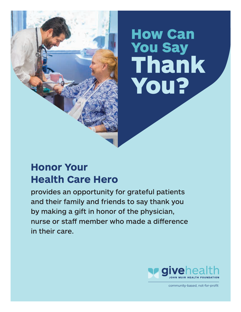# How Can You Say Thank You?

### **Honor Your Health Care Hero**

provides an opportunity for grateful patients and their family and friends to say thank you by making a gift in honor of the physician, nurse or staff member who made a difference in their care.



community-based, not-for-profit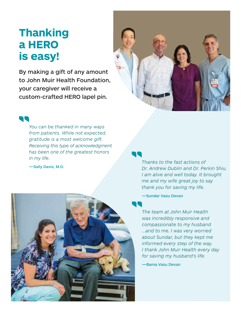# **Thanking a HERO is easy!**

By making a gift of any amount to John Muir Health Foundation, your caregiver will receive a custom-crafted HERO lapel pin.





*You can be thanked in many ways from patients. While not expected, gratitude is a most welcome gift. Receiving this type of acknowledgment has been one of the greatest honors in my life.*

—Sally Davis, M.D.



*Thanks to the fast actions of Dr. Andrew Dublin and Dr. Perkin Shiu, I am alive and well today. It brought me and my wife great joy to say thank you for saving my life.*

—Sundar Vasu Devan

*The team at John Muir Health was incredibly responsive and compassionate to my husband ...and to me. I was very worried about Sundar, but they kept me informed every step of the way. I thank John Muir Health every day for saving my husband's life.*

—Bama Vasu Devan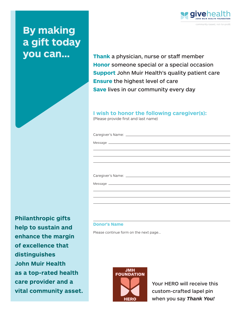## **By making a gift today you can...**

community-based, not-for-profit

**Thank** a physician, nurse or staff member **Honor** someone special or a special occasion **Support** John Muir Health's quality patient care **Ensure** the highest level of care **Save** lives in our community every day

### **I wish to honor the following caregiver(s):**

(Please provide first and last name)

Caregiver's Name:

Message \_

Caregiver's Name:

Message

#### **Donor's Name**

Please continue form on the next page...



Your HERO will receive this custom-crafted lapel pin when you say *Thank You!*

**Philanthropic gifts help to sustain and enhance the margin of excellence that distinguishes John Muir Health as a top-rated health care provider and a vital community asset.**